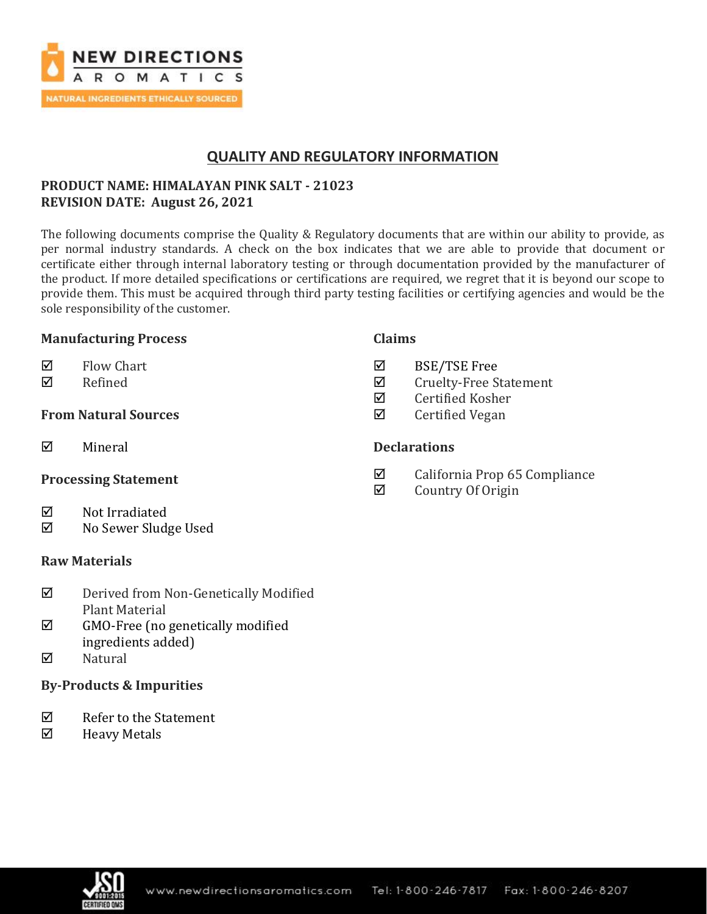

# **QUALITY AND REGULATORY INFORMATION**

# **PRODUCT NAME: HIMALAYAN PINK SALT - 21023 REVISION DATE: August 26, 2021**

The following documents comprise the Quality & Regulatory documents that are within our ability to provide, as per normal industry standards. A check on the box indicates that we are able to provide that document or certificate either through internal laboratory testing or through documentation provided by the manufacturer of the product. If more detailed specifications or certifications are required, we regret that it is beyond our scope to provide them. This must be acquired through third party testing facilities or certifying agencies and would be the sole responsibility of the customer.

### **Manufacturing Process**

- $\nabla$  Flow Chart
- **Ø** Refined

## **From Natural Sources**

 $\nabla$  Mineral

### **Processing Statement**

- $\nabla$  Not Irradiated
- No Sewer Sludge Used

### **Raw Materials**

- Derived from Non-Genetically Modified Plant Material
- $\boxtimes$  GMO-Free (no genetically modified ingredients added)
- $\nabla$  Natural

## **By-Products & Impurities**

- $\nabla$  Refer to the Statement
- $\boxtimes$  Heavy Metals

### **Claims**

- BSE/TSE Free
- $\boxtimes$  Cruelty-Free Statement
- $\boxtimes$  Certified Kosher
- $\boxtimes$  Certified Vegan

### **Declarations**

- $\boxtimes$  California Prop 65 Compliance
- $\boxtimes$  Country Of Origin

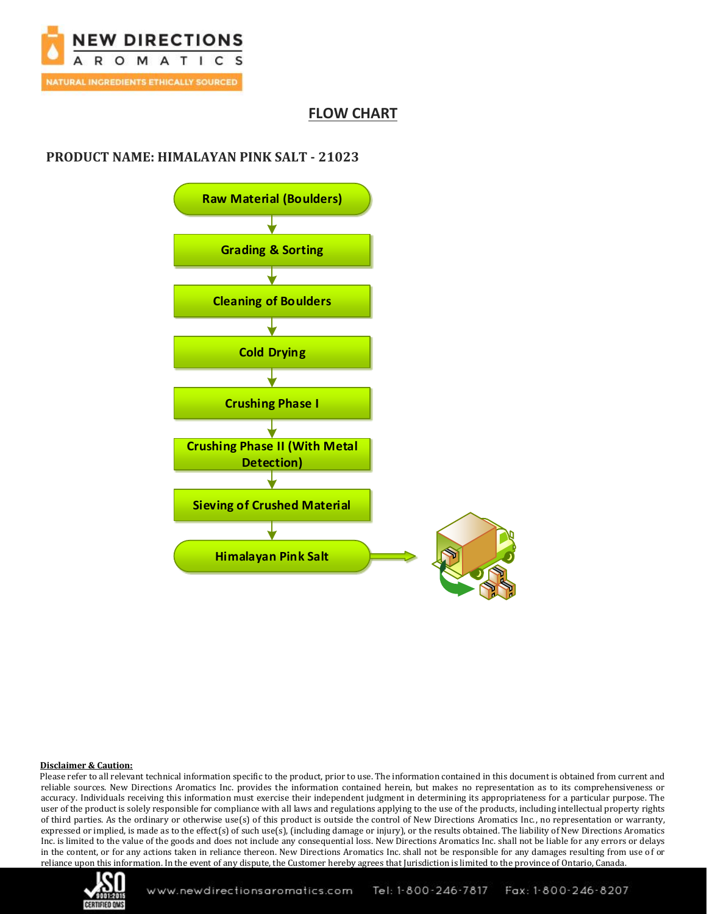

# **FLOW CHART**

# **PRODUCT NAME: HIMALAYAN PINK SALT - 21023**



### **Disclaimer & Caution:**

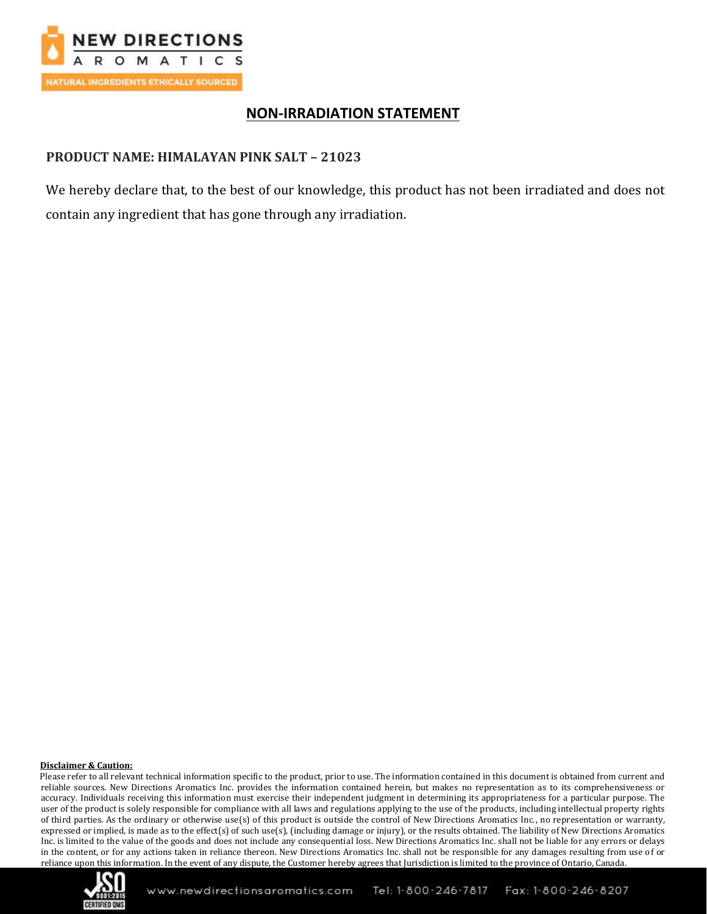

# **NON-IRRADIATION STATEMENT**

# **PRODUCT NAME: HIMALAYAN PINK SALT – 21023**

We hereby declare that, to the best of our knowledge, this product has not been irradiated and does not contain any ingredient that has gone through any irradiation.

#### **Disclaimer & Caution:**

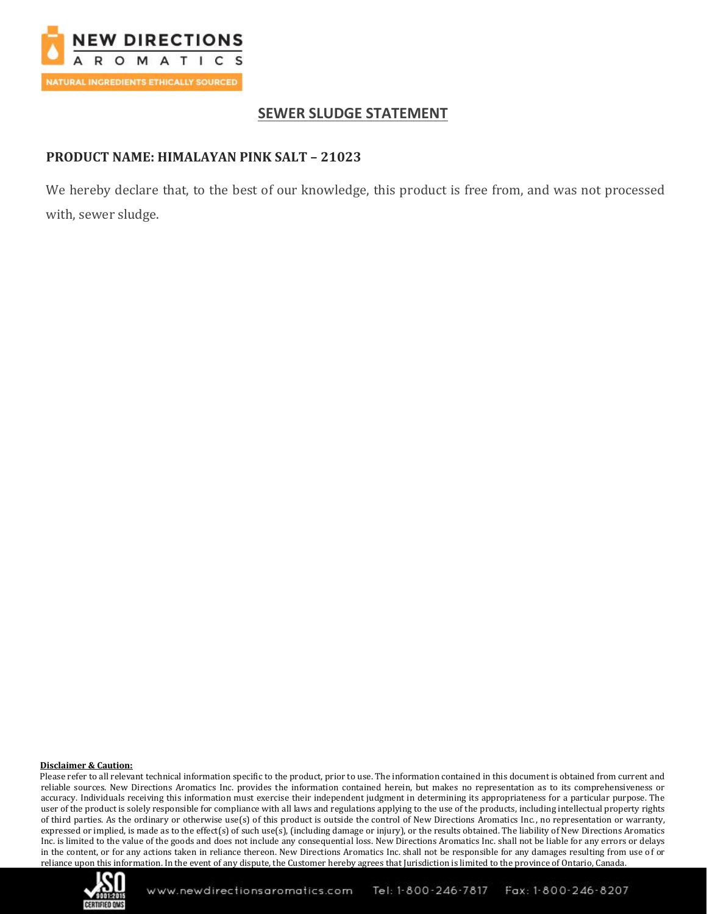

# **SEWER SLUDGE STATEMENT**

# **PRODUCT NAME: HIMALAYAN PINK SALT – 21023**

We hereby declare that, to the best of our knowledge, this product is free from, and was not processed with, sewer sludge.

#### **Disclaimer & Caution:**

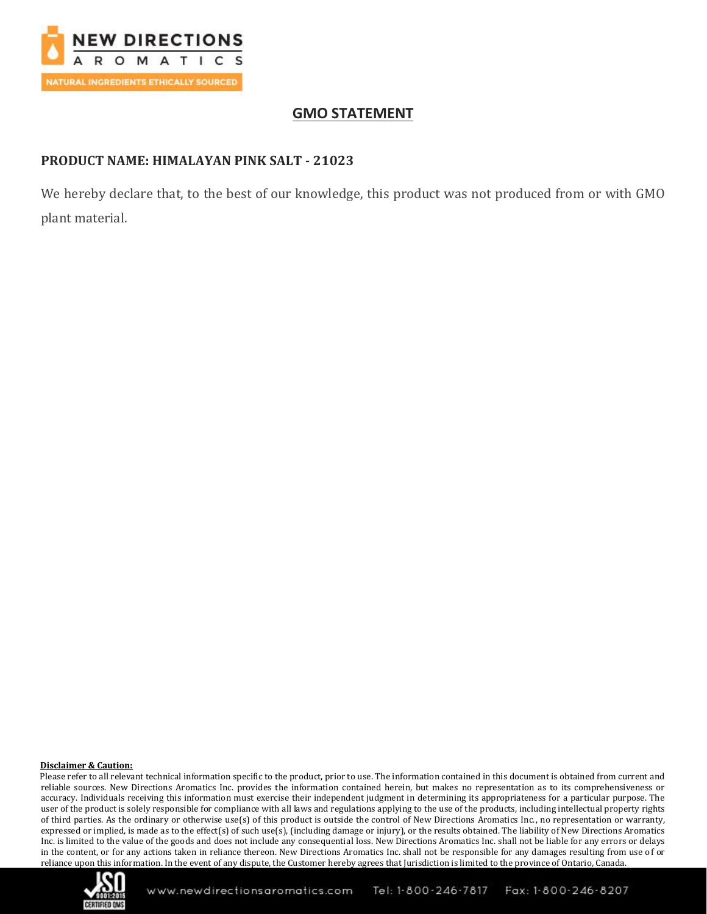

# **GMO STATEMENT**

# **PRODUCT NAME: HIMALAYAN PINK SALT - 21023**

We hereby declare that, to the best of our knowledge, this product was not produced from or with GMO plant material.

### **Disclaimer & Caution:**

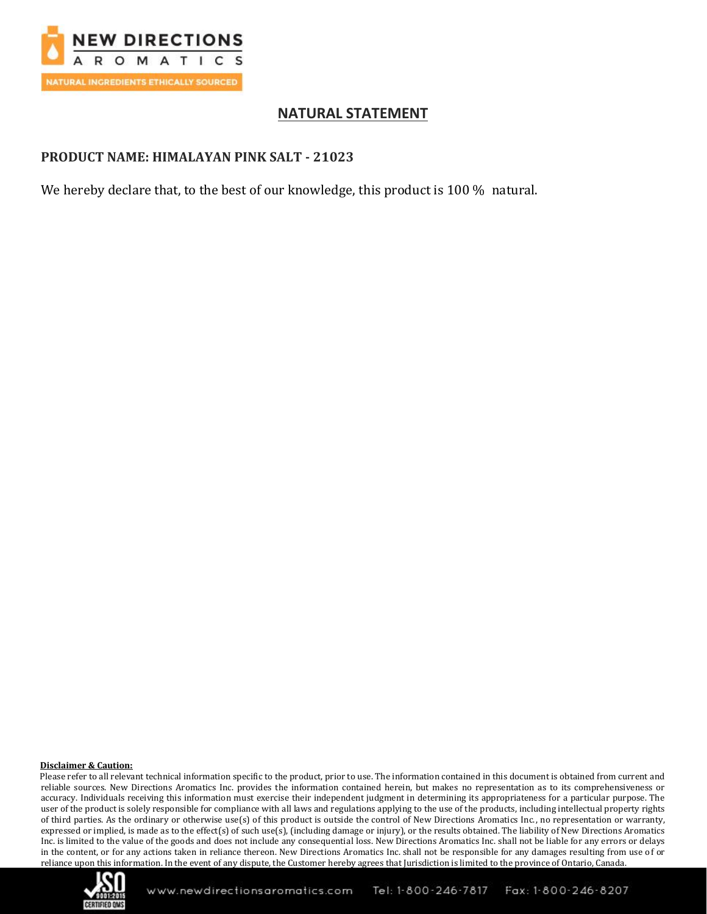

# **NATURAL STATEMENT**

## **PRODUCT NAME: HIMALAYAN PINK SALT - 21023**

We hereby declare that, to the best of our knowledge, this product is 100 % natural.

### **Disclaimer & Caution:**

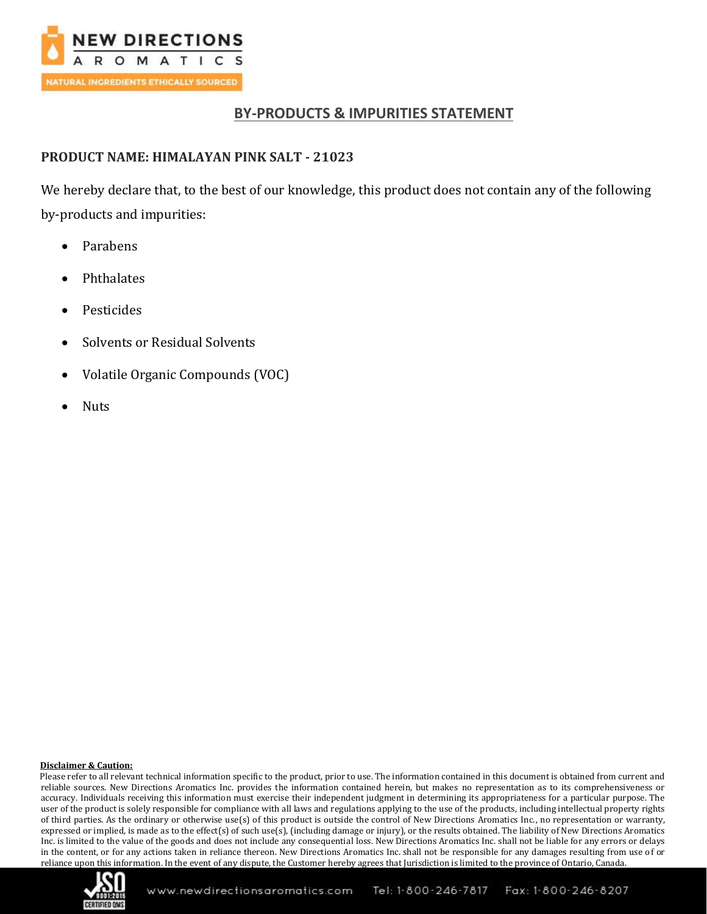

# **BY-PRODUCTS & IMPURITIES STATEMENT**

# **PRODUCT NAME: HIMALAYAN PINK SALT - 21023**

We hereby declare that, to the best of our knowledge, this product does not contain any of the following by-products and impurities:

- Parabens
- Phthalates
- Pesticides
- Solvents or Residual Solvents
- Volatile Organic Compounds (VOC)
- Nuts

### **Disclaimer & Caution:**

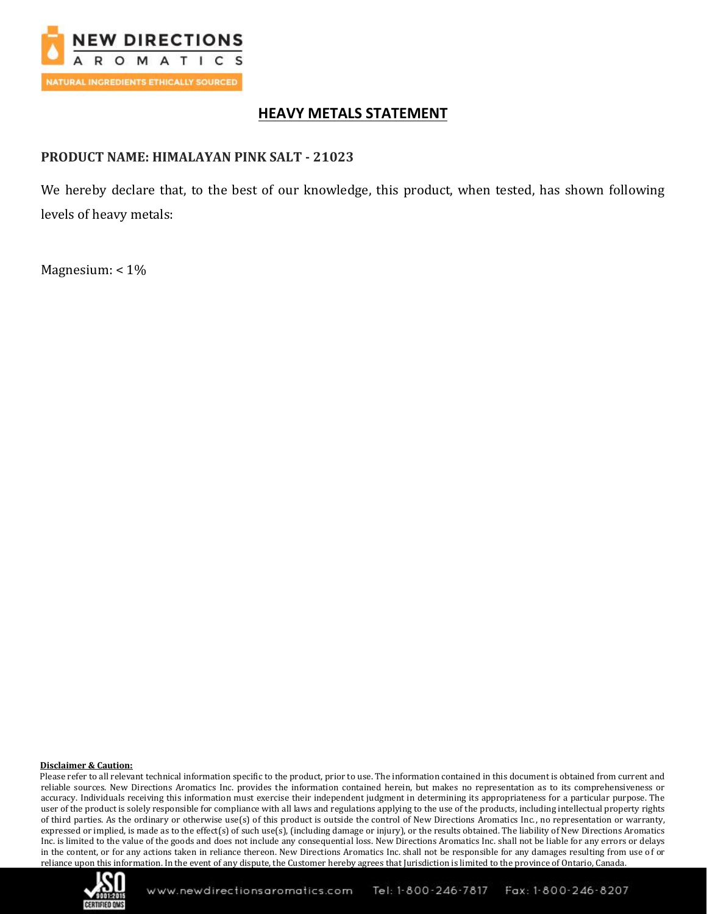

# **HEAVY METALS STATEMENT**

## **PRODUCT NAME: HIMALAYAN PINK SALT - 21023**

We hereby declare that, to the best of our knowledge, this product, when tested, has shown following levels of heavy metals:

Magnesium: < 1%

### **Disclaimer & Caution:**

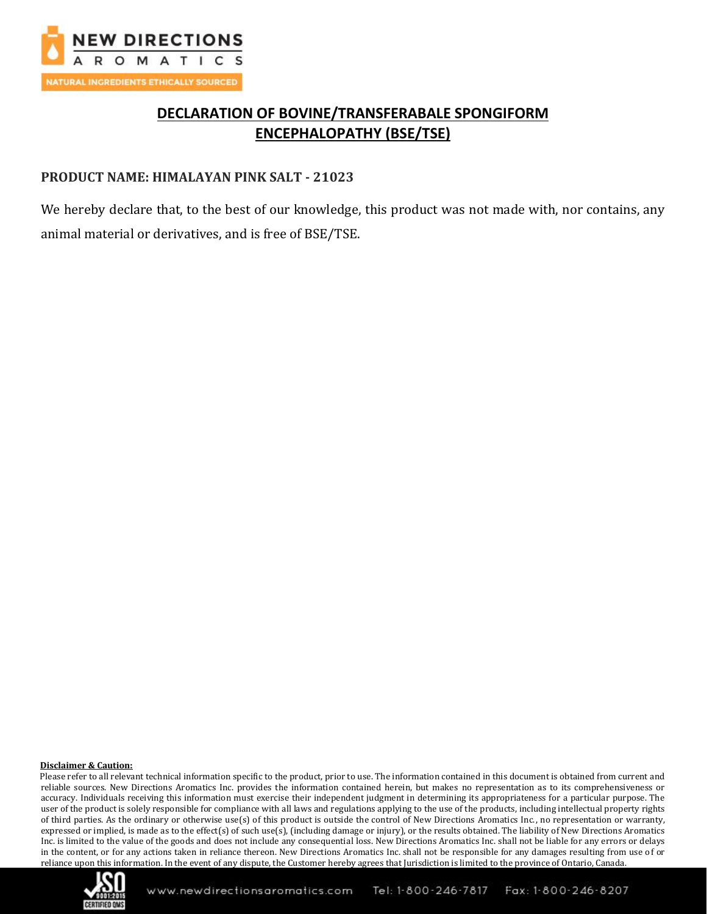

# **DECLARATION OF BOVINE/TRANSFERABALE SPONGIFORM ENCEPHALOPATHY (BSE/TSE)**

### **PRODUCT NAME: HIMALAYAN PINK SALT - 21023**

We hereby declare that, to the best of our knowledge, this product was not made with, nor contains, any animal material or derivatives, and is free of BSE/TSE.

### **Disclaimer & Caution:**

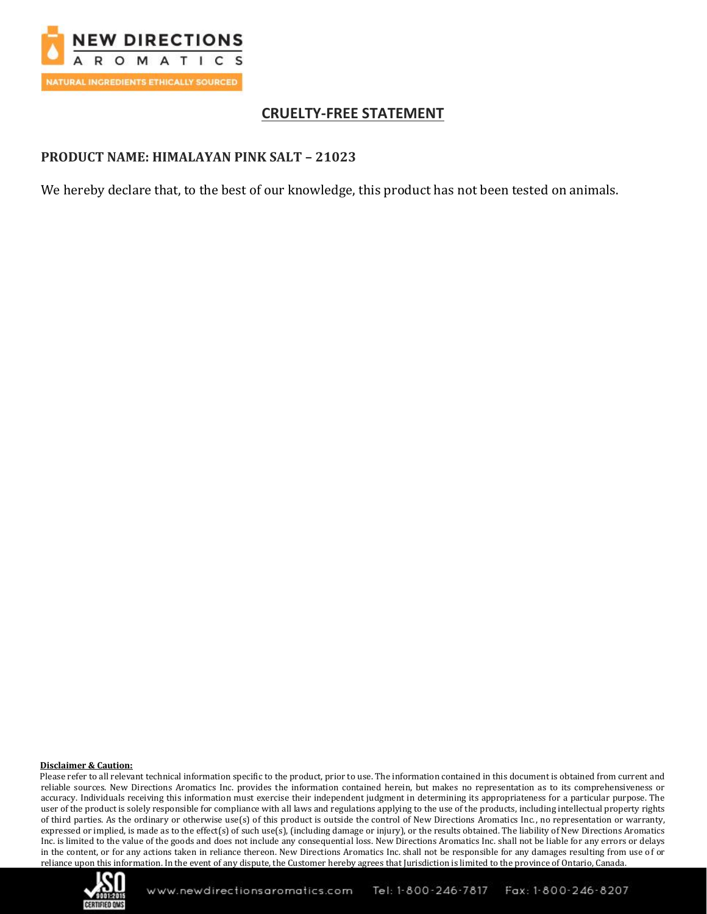

# **CRUELTY-FREE STATEMENT**

## **PRODUCT NAME: HIMALAYAN PINK SALT – 21023**

We hereby declare that, to the best of our knowledge, this product has not been tested on animals.

### **Disclaimer & Caution:**

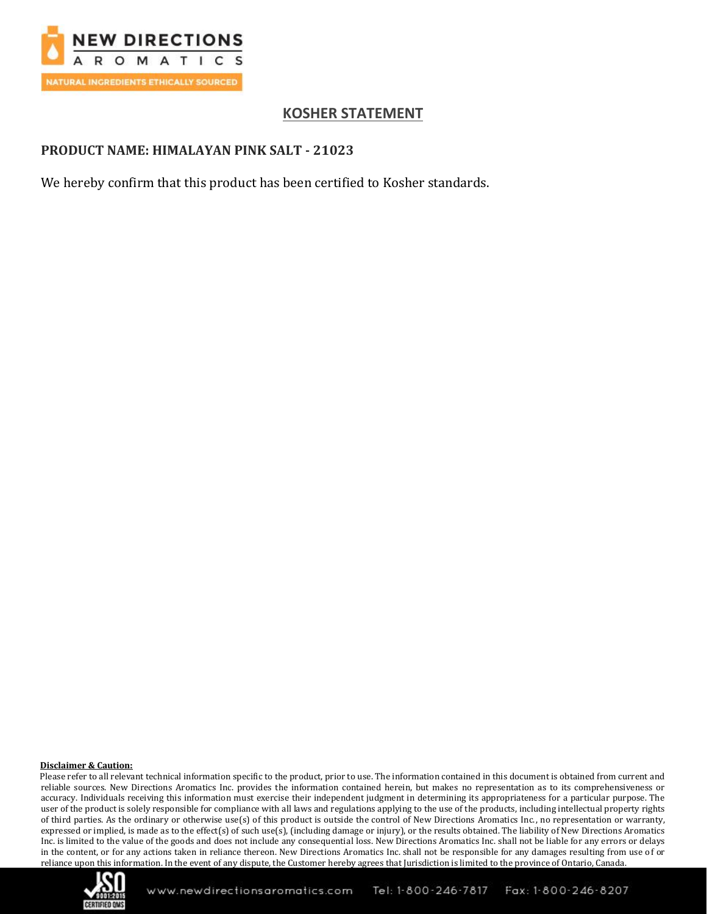

# **KOSHER STATEMENT**

## **PRODUCT NAME: HIMALAYAN PINK SALT - 21023**

We hereby confirm that this product has been certified to Kosher standards.

### **Disclaimer & Caution:**

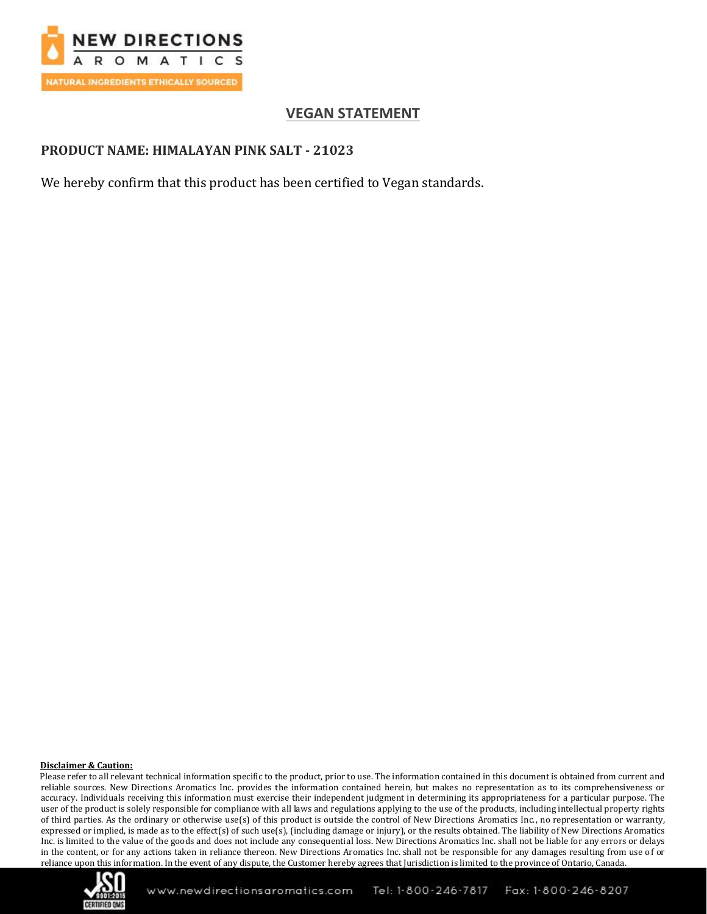

# **VEGAN STATEMENT**

## **PRODUCT NAME: HIMALAYAN PINK SALT - 21023**

We hereby confirm that this product has been certified to Vegan standards.

### **Disclaimer & Caution:**

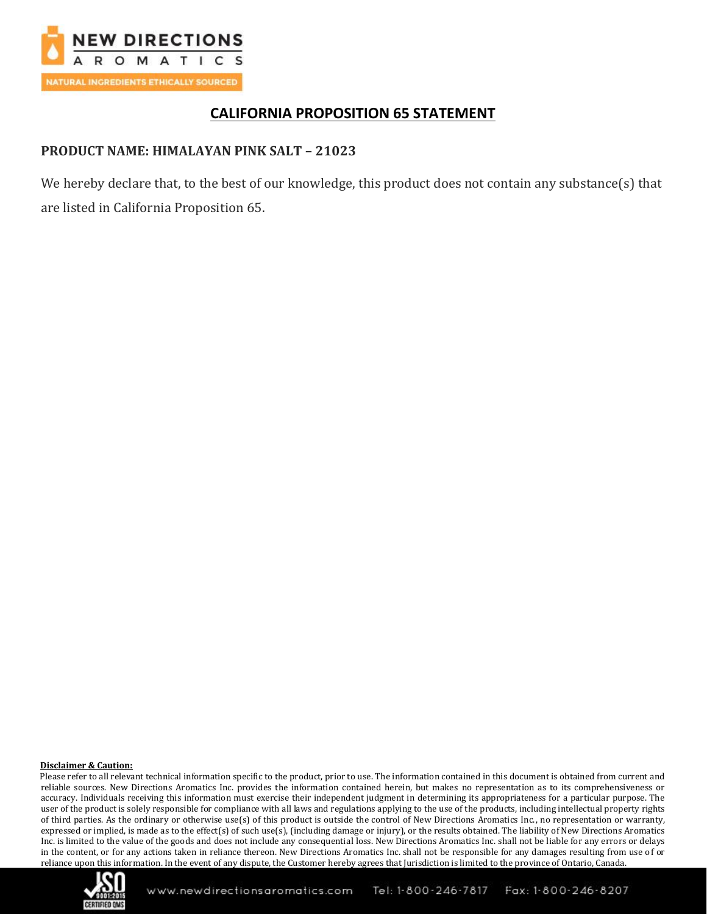

# **CALIFORNIA PROPOSITION 65 STATEMENT**

## **PRODUCT NAME: HIMALAYAN PINK SALT – 21023**

We hereby declare that, to the best of our knowledge, this product does not contain any substance(s) that are listed in California Proposition 65.

### **Disclaimer & Caution:**